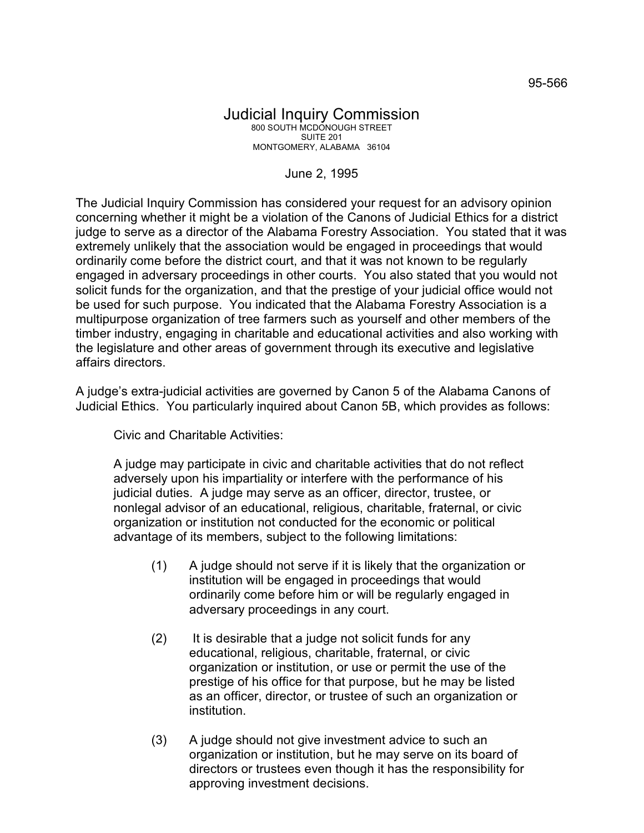## Judicial Inquiry Commission 800 SOUTH MCDONOUGH STREET SUITE 201 MONTGOMERY, ALABAMA 36104

## June 2, 1995

The Judicial Inquiry Commission has considered your request for an advisory opinion concerning whether it might be a violation of the Canons of Judicial Ethics for a district judge to serve as a director of the Alabama Forestry Association. You stated that it was extremely unlikely that the association would be engaged in proceedings that would ordinarily come before the district court, and that it was not known to be regularly engaged in adversary proceedings in other courts. You also stated that you would not solicit funds for the organization, and that the prestige of your judicial office would not be used for such purpose. You indicated that the Alabama Forestry Association is a multipurpose organization of tree farmers such as yourself and other members of the timber industry, engaging in charitable and educational activities and also working with the legislature and other areas of government through its executive and legislative affairs directors.

A judge's extra-judicial activities are governed by Canon 5 of the Alabama Canons of Judicial Ethics. You particularly inquired about Canon 5B, which provides as follows:

Civic and Charitable Activities:

A judge may participate in civic and charitable activities that do not reflect adversely upon his impartiality or interfere with the performance of his judicial duties. A judge may serve as an officer, director, trustee, or nonlegal advisor of an educational, religious, charitable, fraternal, or civic organization or institution not conducted for the economic or political advantage of its members, subject to the following limitations:

- (1) A judge should not serve if it is likely that the organization or institution will be engaged in proceedings that would ordinarily come before him or will be regularly engaged in adversary proceedings in any court.
- (2) It is desirable that a judge not solicit funds for any educational, religious, charitable, fraternal, or civic organization or institution, or use or permit the use of the prestige of his office for that purpose, but he may be listed as an officer, director, or trustee of such an organization or institution.
- (3) A judge should not give investment advice to such an organization or institution, but he may serve on its board of directors or trustees even though it has the responsibility for approving investment decisions.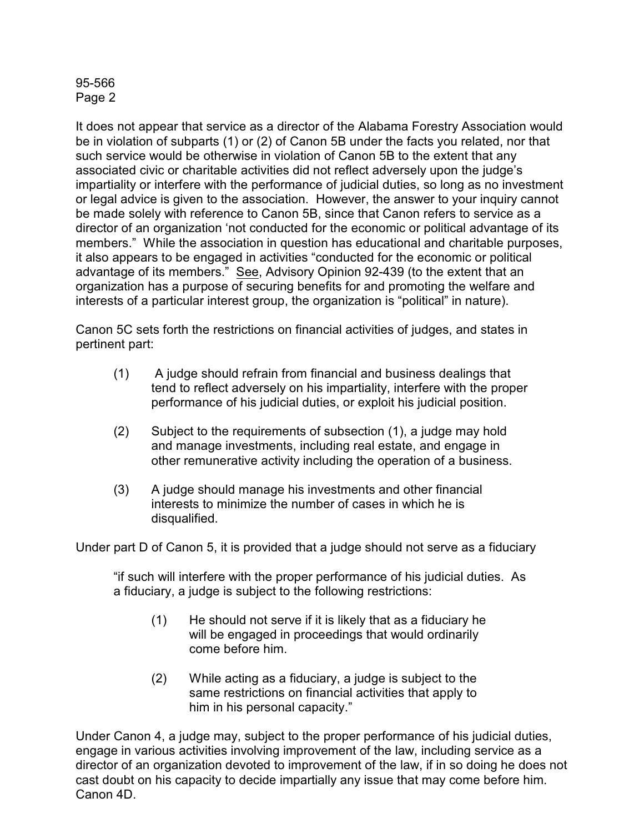## 95-566 Page 2

It does not appear that service as a director of the Alabama Forestry Association would be in violation of subparts (1) or (2) of Canon 5B under the facts you related, nor that such service would be otherwise in violation of Canon 5B to the extent that any associated civic or charitable activities did not reflect adversely upon the judge's impartiality or interfere with the performance of judicial duties, so long as no investment or legal advice is given to the association. However, the answer to your inquiry cannot be made solely with reference to Canon 5B, since that Canon refers to service as a director of an organization 'not conducted for the economic or political advantage of its members." While the association in question has educational and charitable purposes, it also appears to be engaged in activities "conducted for the economic or political advantage of its members." See, Advisory Opinion 92-439 (to the extent that an organization has a purpose of securing benefits for and promoting the welfare and interests of a particular interest group, the organization is "political" in nature).

Canon 5C sets forth the restrictions on financial activities of judges, and states in pertinent part:

- (1) A judge should refrain from financial and business dealings that tend to reflect adversely on his impartiality, interfere with the proper performance of his judicial duties, or exploit his judicial position.
- (2) Subject to the requirements of subsection (1), a judge may hold and manage investments, including real estate, and engage in other remunerative activity including the operation of a business.
- (3) A judge should manage his investments and other financial interests to minimize the number of cases in which he is disqualified.

Under part D of Canon 5, it is provided that a judge should not serve as a fiduciary

"if such will interfere with the proper performance of his judicial duties. As a fiduciary, a judge is subject to the following restrictions:

- (1) He should not serve if it is likely that as a fiduciary he will be engaged in proceedings that would ordinarily come before him.
- (2) While acting as a fiduciary, a judge is subject to the same restrictions on financial activities that apply to him in his personal capacity."

Under Canon 4, a judge may, subject to the proper performance of his judicial duties, engage in various activities involving improvement of the law, including service as a director of an organization devoted to improvement of the law, if in so doing he does not cast doubt on his capacity to decide impartially any issue that may come before him. Canon 4D.